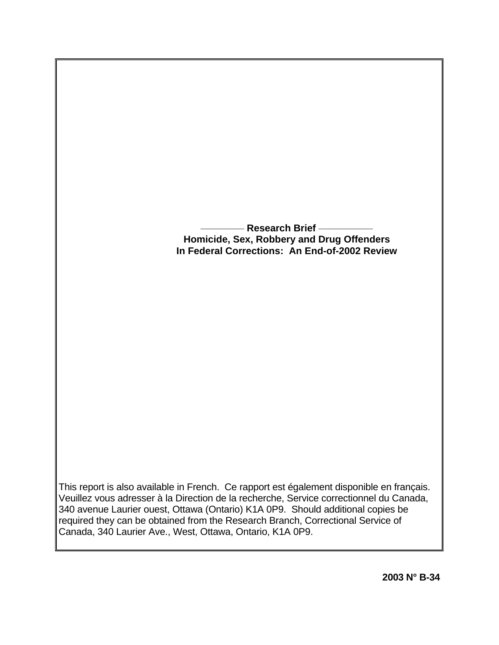## **\_\_\_\_\_\_\_\_ Research Brief \_\_\_\_\_\_\_\_\_\_ Homicide, Sex, Robbery and Drug Offenders In Federal Corrections: An End-of-2002 Review**

This report is also available in French. Ce rapport est également disponible en français. Veuillez vous adresser à la Direction de la recherche, Service correctionnel du Canada, 340 avenue Laurier ouest, Ottawa (Ontario) K1A 0P9. Should additional copies be required they can be obtained from the Research Branch, Correctional Service of Canada, 340 Laurier Ave., West, Ottawa, Ontario, K1A 0P9.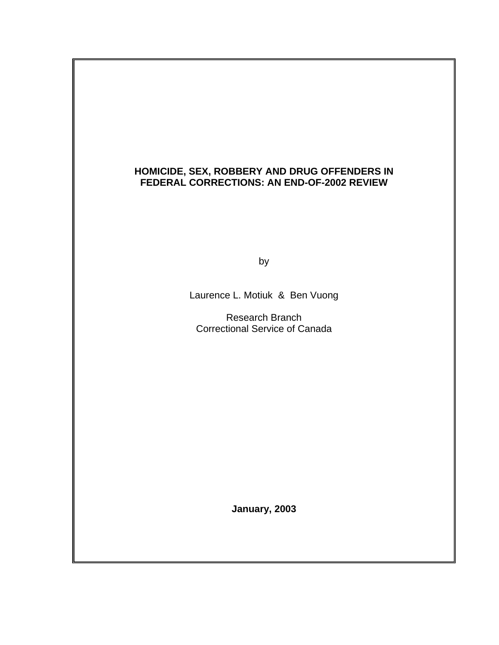### **HOMICIDE, SEX, ROBBERY AND DRUG OFFENDERS IN FEDERAL CORRECTIONS: AN END-OF-2002 REVIEW**

by the contract of the contract of the contract of the contract of the contract of the contract of the contract of the contract of the contract of the contract of the contract of the contract of the contract of the contrac

Laurence L. Motiuk & Ben Vuong

 Research Branch Correctional Service of Canada

**January, 2003**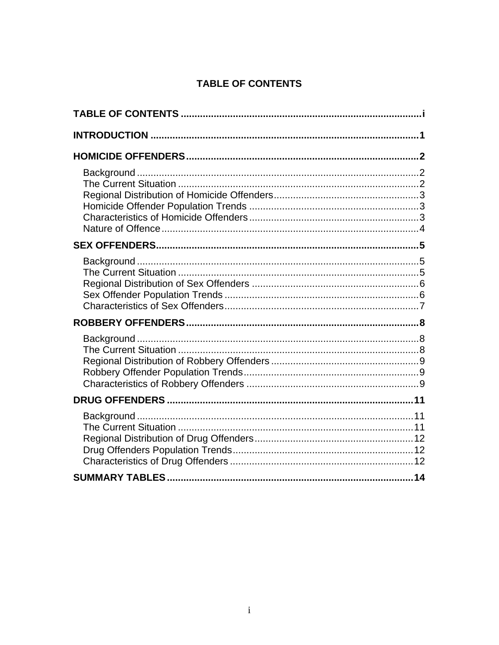# **TABLE OF CONTENTS**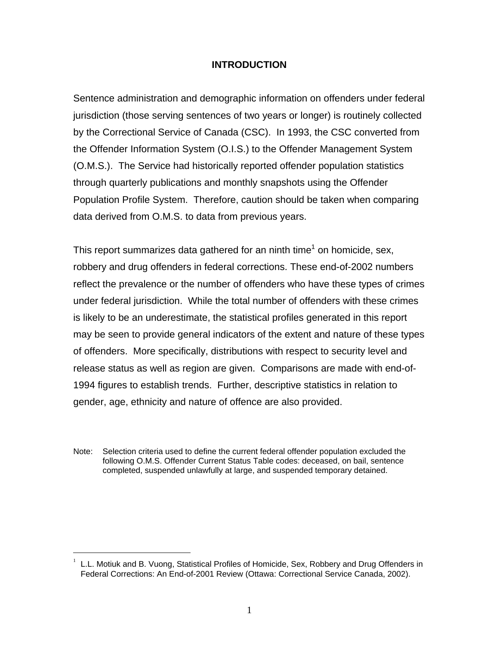#### **INTRODUCTION**

<span id="page-3-0"></span>Sentence administration and demographic information on offenders under federal jurisdiction (those serving sentences of two years or longer) is routinely collected by the Correctional Service of Canada (CSC). In 1993, the CSC converted from the Offender Information System (O.I.S.) to the Offender Management System (O.M.S.). The Service had historically reported offender population statistics through quarterly publications and monthly snapshots using the Offender Population Profile System. Therefore, caution should be taken when comparing data derived from O.M.S. to data from previous years.

This report summarizes data gathered for an ninth time<sup>[1](#page-3-1)</sup> on homicide, sex, robbery and drug offenders in federal corrections. These end-of-2002 numbers reflect the prevalence or the number of offenders who have these types of crimes under federal jurisdiction. While the total number of offenders with these crimes is likely to be an underestimate, the statistical profiles generated in this report may be seen to provide general indicators of the extent and nature of these types of offenders. More specifically, distributions with respect to security level and release status as well as region are given. Comparisons are made with end-of-1994 figures to establish trends. Further, descriptive statistics in relation to gender, age, ethnicity and nature of offence are also provided.

Note: Selection criteria used to define the current federal offender population excluded the following O.M.S. Offender Current Status Table codes: deceased, on bail, sentence completed, suspended unlawfully at large, and suspended temporary detained.

 $\overline{a}$ 

<span id="page-3-1"></span><sup>1</sup> L.L. Motiuk and B. Vuong, Statistical Profiles of Homicide, Sex, Robbery and Drug Offenders in Federal Corrections: An End-of-2001 Review (Ottawa: Correctional Service Canada, 2002).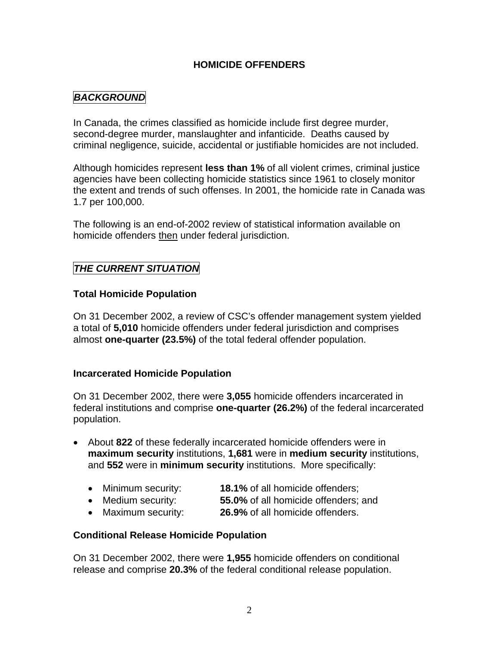### **HOMICIDE OFFENDERS**

# <span id="page-4-0"></span>*BACKGROUND*

In Canada, the crimes classified as homicide include first degree murder, second-degree murder, manslaughter and infanticide. Deaths caused by criminal negligence, suicide, accidental or justifiable homicides are not included.

Although homicides represent **less than 1%** of all violent crimes, criminal justice agencies have been collecting homicide statistics since 1961 to closely monitor the extent and trends of such offenses. In 2001, the homicide rate in Canada was 1.7 per 100,000.

The following is an end-of-2002 review of statistical information available on homicide offenders then under federal jurisdiction.

### *THE CURRENT SITUATION*

### **Total Homicide Population**

On 31 December 2002, a review of CSC's offender management system yielded a total of **5,010** homicide offenders under federal jurisdiction and comprises almost **one-quarter (23.5%)** of the total federal offender population.

#### **Incarcerated Homicide Population**

On 31 December 2002, there were **3,055** homicide offenders incarcerated in federal institutions and comprise **one-quarter (26.2%)** of the federal incarcerated population.

- About **822** of these federally incarcerated homicide offenders were in **maximum security** institutions, **1,681** were in **medium security** institutions, and **552** were in **minimum security** institutions. More specifically:
	- Minimum security: **18.1%** of all homicide offenders;
	- Medium security: **55.0%** of all homicide offenders; and
	- Maximum security: **26.9%** of all homicide offenders.

### **Conditional Release Homicide Population**

On 31 December 2002, there were **1,955** homicide offenders on conditional release and comprise **20.3%** of the federal conditional release population.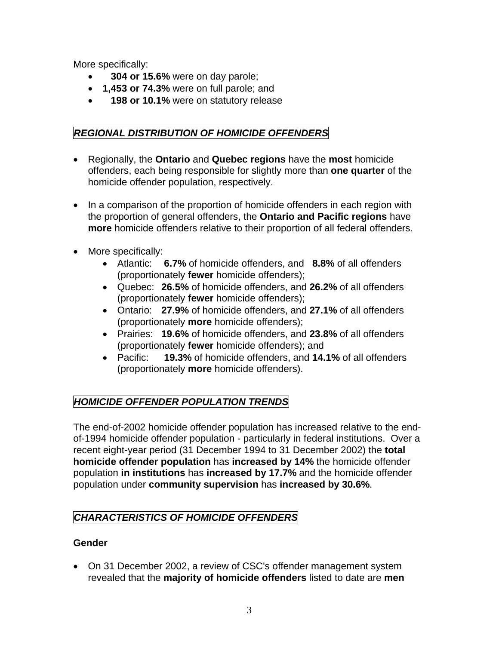<span id="page-5-0"></span>More specifically:

- • **304 or 15.6%** were on day parole;
- **1,453 or 74.3%** were on full parole; and
- • **198 or 10.1%** were on statutory release

## *REGIONAL DISTRIBUTION OF HOMICIDE OFFENDERS*

- Regionally, the **Ontario** and **Quebec regions** have the **most** homicide offenders, each being responsible for slightly more than **one quarter** of the homicide offender population, respectively.
- In a comparison of the proportion of homicide offenders in each region with the proportion of general offenders, the **Ontario and Pacific regions** have **more** homicide offenders relative to their proportion of all federal offenders.
- More specifically:
	- Atlantic: **6.7%** of homicide offenders, and **8.8%** of all offenders (proportionately **fewer** homicide offenders);
	- Quebec: **26.5%** of homicide offenders, and **26.2%** of all offenders (proportionately **fewer** homicide offenders);
	- Ontario: **27.9%** of homicide offenders, and **27.1%** of all offenders (proportionately **more** homicide offenders);
	- Prairies: **19.6%** of homicide offenders, and **23.8%** of all offenders (proportionately **fewer** homicide offenders); and
	- Pacific: **19.3%** of homicide offenders, and **14.1%** of all offenders (proportionately **more** homicide offenders).

# *HOMICIDE OFFENDER POPULATION TRENDS*

The end-of-2002 homicide offender population has increased relative to the endof-1994 homicide offender population - particularly in federal institutions. Over a recent eight-year period (31 December 1994 to 31 December 2002) the **total homicide offender population** has **increased by 14%** the homicide offender population **in institutions** has **increased by 17.7%** and the homicide offender population under **community supervision** has **increased by 30.6%**.

# *CHARACTERISTICS OF HOMICIDE OFFENDERS*

### **Gender**

• On 31 December 2002, a review of CSC's offender management system revealed that the **majority of homicide offenders** listed to date are **men**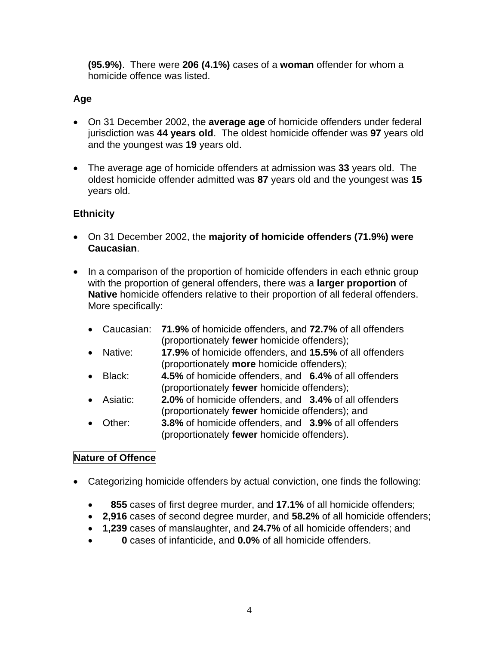**(95.9%)**. There were **206 (4.1%)** cases of a **woman** offender for whom a homicide offence was listed.

## **Age**

- On 31 December 2002, the **average age** of homicide offenders under federal jurisdiction was **44 years old**. The oldest homicide offender was **97** years old and the youngest was **19** years old.
- The average age of homicide offenders at admission was **33** years old. The oldest homicide offender admitted was **87** years old and the youngest was **15** years old.

## **Ethnicity**

- On 31 December 2002, the **majority of homicide offenders (71.9%) were Caucasian**.
- In a comparison of the proportion of homicide offenders in each ethnic group with the proportion of general offenders, there was a **larger proportion** of **Native** homicide offenders relative to their proportion of all federal offenders. More specifically:
	- Caucasian: **71.9%** of homicide offenders, and **72.7%** of all offenders (proportionately **fewer** homicide offenders);
	- Native: **17.9%** of homicide offenders, and **15.5%** of all offenders (proportionately **more** homicide offenders);
	- Black: **4.5%** of homicide offenders, and **6.4%** of all offenders (proportionately **fewer** homicide offenders);
	- Asiatic: **2.0%** of homicide offenders, and **3.4%** of all offenders (proportionately **fewer** homicide offenders); and
	- Other: **3.8%** of homicide offenders, and **3.9%** of all offenders (proportionately **fewer** homicide offenders).

### **Nature of Offence**

- Categorizing homicide offenders by actual conviction, one finds the following:
	- • **855** cases of first degree murder, and **17.1%** of all homicide offenders;
	- **2,916** cases of second degree murder, and **58.2%** of all homicide offenders;
	- **1,239** cases of manslaughter, and **24.7%** of all homicide offenders; and
	- • **0** cases of infanticide, and **0.0%** of all homicide offenders.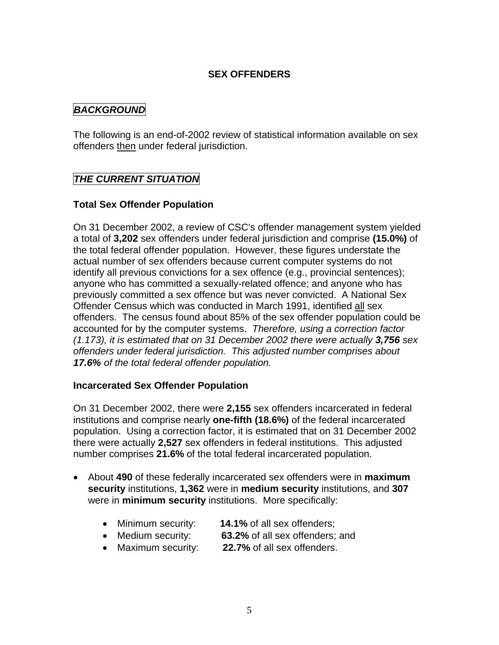#### **SEX OFFENDERS**

### *BACKGROUND*

The following is an end-of-2002 review of statistical information available on sex offenders then under federal jurisdiction.

## *THE CURRENT SITUATION*

### **Total Sex Offender Population**

On 31 December 2002, a review of CSC's offender management system yielded a total of **3,202** sex offenders under federal jurisdiction and comprise **(15.0%)** of the total federal offender population. However, these figures understate the actual number of sex offenders because current computer systems do not identify all previous convictions for a sex offence (e.g., provincial sentences); anyone who has committed a sexually-related offence; and anyone who has previously committed a sex offence but was never convicted. A National Sex Offender Census which was conducted in March 1991, identified all sex offenders. The census found about 85% of the sex offender population could be accounted for by the computer systems. *Therefore, using a correction factor (1.173), it is estimated that on 31 December 2002 there were actually 3,756 sex offenders under federal jurisdiction. This adjusted number comprises about 17.6% of the total federal offender population.*

#### **Incarcerated Sex Offender Population**

On 31 December 2002, there were **2,155** sex offenders incarcerated in federal institutions and comprise nearly **one-fifth (18.6%)** of the federal incarcerated population. Using a correction factor, it is estimated that on 31 December 2002 there were actually **2,527** sex offenders in federal institutions. This adjusted number comprises **21.6%** of the total federal incarcerated population.

- About **490** of these federally incarcerated sex offenders were in **maximum security** institutions, **1,362** were in **medium security** institutions, and **307** were in **minimum security** institutions. More specifically:
	- Minimum security: **14.1%** of all sex offenders;
	- Medium security: **63.2%** of all sex offenders; and
	- Maximum security: **22.7%** of all sex offenders.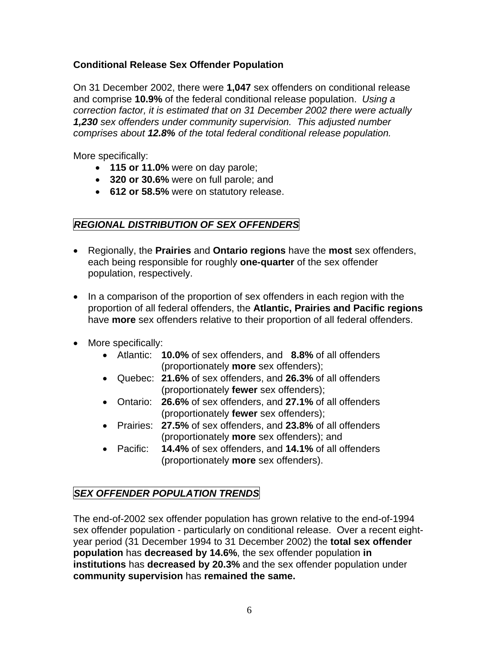### **Conditional Release Sex Offender Population**

On 31 December 2002, there were **1,047** sex offenders on conditional release and comprise **10.9%** of the federal conditional release population. *Using a correction factor, it is estimated that on 31 December 2002 there were actually 1,230 sex offenders under community supervision. This adjusted number comprises about 12.8% of the total federal conditional release population.*

More specifically:

- **115 or 11.0%** were on day parole;
- **320 or 30.6%** were on full parole; and
- **612 or 58.5%** were on statutory release.

## *REGIONAL DISTRIBUTION OF SEX OFFENDERS*

- Regionally, the **Prairies** and **Ontario regions** have the **most** sex offenders, each being responsible for roughly **one-quarter** of the sex offender population, respectively.
- In a comparison of the proportion of sex offenders in each region with the proportion of all federal offenders, the **Atlantic, Prairies and Pacific regions** have **more** sex offenders relative to their proportion of all federal offenders.
- More specifically:
	- Atlantic: **10.0%** of sex offenders, and **8.8%** of all offenders (proportionately **more** sex offenders);
	- Quebec: **21.6%** of sex offenders, and **26.3%** of all offenders (proportionately **fewer** sex offenders);
	- Ontario: **26.6%** of sex offenders, and **27.1%** of all offenders (proportionately **fewer** sex offenders);
	- Prairies: **27.5%** of sex offenders, and **23.8%** of all offenders (proportionately **more** sex offenders); and
	- Pacific: **14.4%** of sex offenders, and **14.1%** of all offenders (proportionately **more** sex offenders).

# *SEX OFFENDER POPULATION TRENDS*

The end-of-2002 sex offender population has grown relative to the end-of-1994 sex offender population - particularly on conditional release. Over a recent eightyear period (31 December 1994 to 31 December 2002) the **total sex offender population** has **decreased by 14.6%**, the sex offender population **in institutions** has **decreased by 20.3%** and the sex offender population under **community supervision** has **remained the same.**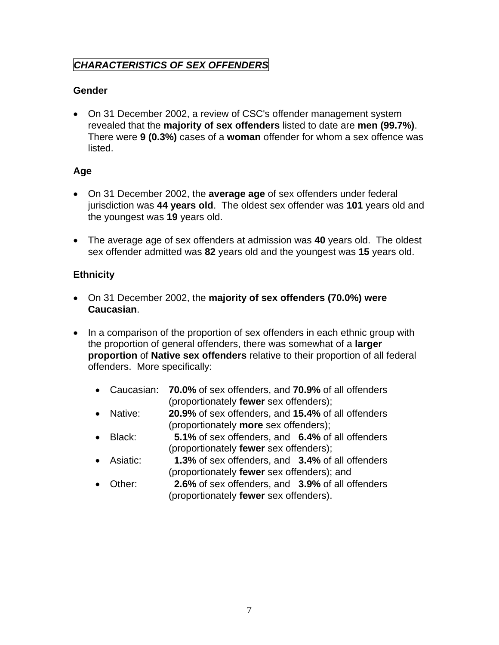# *CHARACTERISTICS OF SEX OFFENDERS*

## **Gender**

• On 31 December 2002, a review of CSC's offender management system revealed that the **majority of sex offenders** listed to date are **men (99.7%)**. There were **9 (0.3%)** cases of a **woman** offender for whom a sex offence was listed.

### **Age**

- On 31 December 2002, the **average age** of sex offenders under federal jurisdiction was **44 years old**. The oldest sex offender was **101** years old and the youngest was **19** years old.
- The average age of sex offenders at admission was **40** years old. The oldest sex offender admitted was **82** years old and the youngest was **15** years old.

## **Ethnicity**

- On 31 December 2002, the **majority of sex offenders (70.0%) were Caucasian**.
- In a comparison of the proportion of sex offenders in each ethnic group with the proportion of general offenders, there was somewhat of a **larger proportion** of **Native sex offenders** relative to their proportion of all federal offenders. More specifically:
	- Caucasian: **70.0%** of sex offenders, and **70.9%** of all offenders (proportionately **fewer** sex offenders);
	- Native: **20.9%** of sex offenders, and **15.4%** of all offenders (proportionately **more** sex offenders);
	- Black: **5.1%** of sex offenders, and **6.4%** of all offenders (proportionately **fewer** sex offenders);
	- Asiatic: **1.3%** of sex offenders, and **3.4%** of all offenders (proportionately **fewer** sex offenders); and
	- Other: **2.6%** of sex offenders, and **3.9%** of all offenders (proportionately **fewer** sex offenders).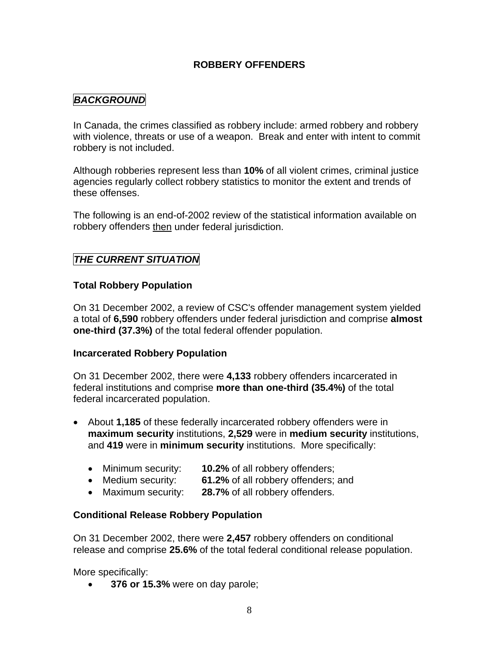### **ROBBERY OFFENDERS**

## *BACKGROUND*

In Canada, the crimes classified as robbery include: armed robbery and robbery with violence, threats or use of a weapon. Break and enter with intent to commit robbery is not included.

Although robberies represent less than **10%** of all violent crimes, criminal justice agencies regularly collect robbery statistics to monitor the extent and trends of these offenses.

The following is an end-of-2002 review of the statistical information available on robbery offenders then under federal jurisdiction.

## *THE CURRENT SITUATION*

#### **Total Robbery Population**

On 31 December 2002, a review of CSC's offender management system yielded a total of **6,590** robbery offenders under federal jurisdiction and comprise **almost one-third (37.3%)** of the total federal offender population.

#### **Incarcerated Robbery Population**

On 31 December 2002, there were **4,133** robbery offenders incarcerated in federal institutions and comprise **more than one-third (35.4%)** of the total federal incarcerated population.

- About **1,185** of these federally incarcerated robbery offenders were in **maximum security** institutions, **2,529** were in **medium security** institutions, and **419** were in **minimum security** institutions. More specifically:
	- Minimum security: **10.2%** of all robbery offenders;
	- Medium security: **61.2%** of all robbery offenders; and
	- Maximum security: **28.7%** of all robbery offenders.

#### **Conditional Release Robbery Population**

On 31 December 2002, there were **2,457** robbery offenders on conditional release and comprise **25.6%** of the total federal conditional release population.

More specifically:

• **376 or 15.3%** were on day parole;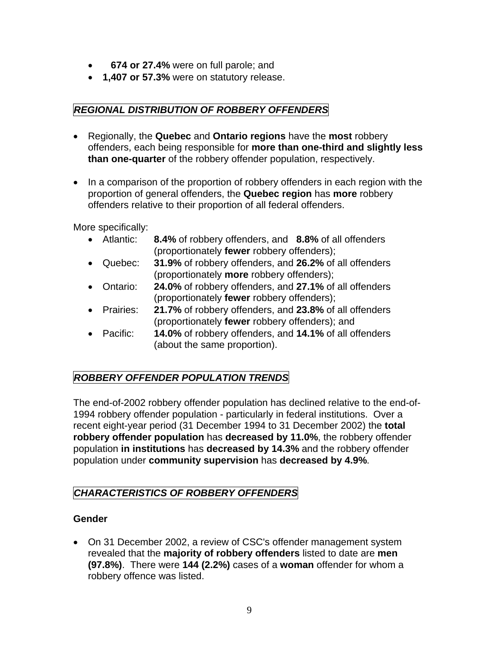- • **674 or 27.4%** were on full parole; and
- **1,407 or 57.3%** were on statutory release.

# *REGIONAL DISTRIBUTION OF ROBBERY OFFENDERS*

- Regionally, the **Quebec** and **Ontario regions** have the **most** robbery offenders, each being responsible for **more than one-third and slightly less than one-quarter** of the robbery offender population, respectively.
- In a comparison of the proportion of robbery offenders in each region with the proportion of general offenders, the **Quebec region** has **more** robbery offenders relative to their proportion of all federal offenders.

More specifically:

- Atlantic: **8.4%** of robbery offenders, and **8.8%** of all offenders (proportionately **fewer** robbery offenders);
- Quebec: **31.9%** of robbery offenders, and **26.2%** of all offenders (proportionately **more** robbery offenders);
- Ontario: **24.0%** of robbery offenders, and **27.1%** of all offenders (proportionately **fewer** robbery offenders);
- Prairies: **21.7%** of robbery offenders, and **23.8%** of all offenders (proportionately **fewer** robbery offenders); and
- Pacific: **14.0%** of robbery offenders, and **14.1%** of all offenders (about the same proportion).

# *ROBBERY OFFENDER POPULATION TRENDS*

The end-of-2002 robbery offender population has declined relative to the end-of-1994 robbery offender population - particularly in federal institutions. Over a recent eight-year period (31 December 1994 to 31 December 2002) the **total robbery offender population** has **decreased by 11.0%**, the robbery offender population **in institutions** has **decreased by 14.3%** and the robbery offender population under **community supervision** has **decreased by 4.9%**.

# *CHARACTERISTICS OF ROBBERY OFFENDERS*

## **Gender**

• On 31 December 2002, a review of CSC's offender management system revealed that the **majority of robbery offenders** listed to date are **men (97.8%)**. There were **144 (2.2%)** cases of a **woman** offender for whom a robbery offence was listed.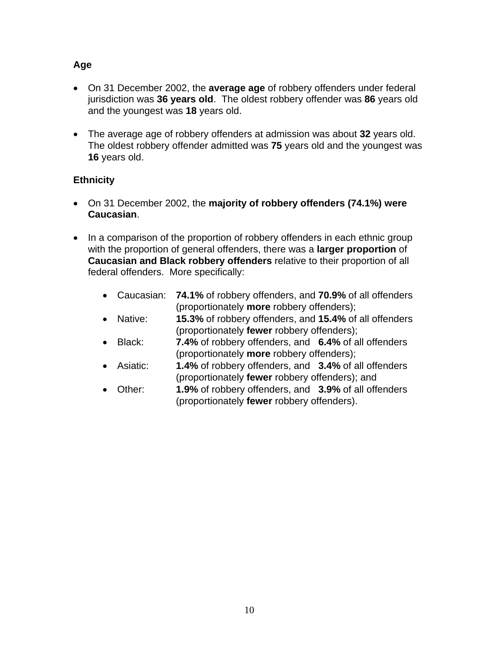### **Age**

- On 31 December 2002, the **average age** of robbery offenders under federal jurisdiction was **36 years old**. The oldest robbery offender was **86** years old and the youngest was **18** years old.
- The average age of robbery offenders at admission was about **32** years old. The oldest robbery offender admitted was **75** years old and the youngest was **16** years old.

## **Ethnicity**

- On 31 December 2002, the **majority of robbery offenders (74.1%) were Caucasian**.
- In a comparison of the proportion of robbery offenders in each ethnic group with the proportion of general offenders, there was a **larger proportion** of **Caucasian and Black robbery offenders** relative to their proportion of all federal offenders. More specifically:
	- Caucasian: **74.1%** of robbery offenders, and **70.9%** of all offenders (proportionately **more** robbery offenders);
	- Native: **15.3%** of robbery offenders, and **15.4%** of all offenders (proportionately **fewer** robbery offenders);
	- Black: **7.4%** of robbery offenders, and **6.4%** of all offenders (proportionately **more** robbery offenders);
	- Asiatic: **1.4%** of robbery offenders, and **3.4%** of all offenders (proportionately **fewer** robbery offenders); and
	- Other: **1.9%** of robbery offenders, and **3.9%** of all offenders (proportionately **fewer** robbery offenders).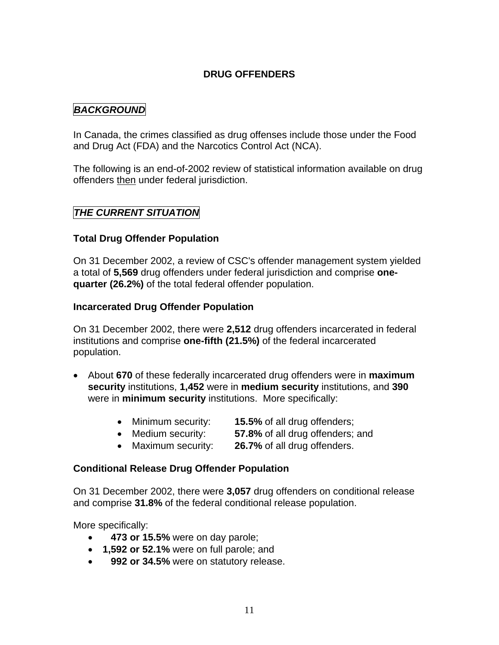### **DRUG OFFENDERS**

### *BACKGROUND*

In Canada, the crimes classified as drug offenses include those under the Food and Drug Act (FDA) and the Narcotics Control Act (NCA).

The following is an end-of-2002 review of statistical information available on drug offenders then under federal jurisdiction.

### *THE CURRENT SITUATION*

#### **Total Drug Offender Population**

On 31 December 2002, a review of CSC's offender management system yielded a total of **5,569** drug offenders under federal jurisdiction and comprise **onequarter (26.2%)** of the total federal offender population.

#### **Incarcerated Drug Offender Population**

On 31 December 2002, there were **2,512** drug offenders incarcerated in federal institutions and comprise **one-fifth (21.5%)** of the federal incarcerated population.

- About **670** of these federally incarcerated drug offenders were in **maximum security** institutions, **1,452** were in **medium security** institutions, and **390** were in **minimum security** institutions. More specifically:
	- Minimum security: **15.5%** of all drug offenders;
	- Medium security: **57.8%** of all drug offenders; and
	- Maximum security: **26.7%** of all drug offenders.

#### **Conditional Release Drug Offender Population**

On 31 December 2002, there were **3,057** drug offenders on conditional release and comprise **31.8%** of the federal conditional release population.

More specifically:

- • **473 or 15.5%** were on day parole;
- **1,592 or 52.1%** were on full parole; and
- • **992 or 34.5%** were on statutory release.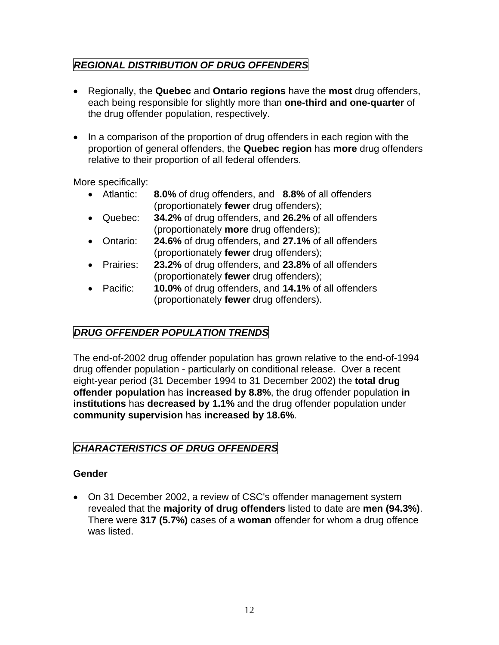# *REGIONAL DISTRIBUTION OF DRUG OFFENDERS*

- Regionally, the **Quebec** and **Ontario regions** have the **most** drug offenders, each being responsible for slightly more than **one-third and one-quarter** of the drug offender population, respectively.
- In a comparison of the proportion of drug offenders in each region with the proportion of general offenders, the **Quebec region** has **more** drug offenders relative to their proportion of all federal offenders.

More specifically:

- Atlantic: **8.0%** of drug offenders, and **8.8%** of all offenders (proportionately **fewer** drug offenders);
- Quebec: **34.2%** of drug offenders, and **26.2%** of all offenders (proportionately **more** drug offenders);
- Ontario: **24.6%** of drug offenders, and **27.1%** of all offenders (proportionately **fewer** drug offenders);
- Prairies: **23.2%** of drug offenders, and **23.8%** of all offenders (proportionately **fewer** drug offenders);
- Pacific: **10.0%** of drug offenders, and **14.1%** of all offenders (proportionately **fewer** drug offenders).

# *DRUG OFFENDER POPULATION TRENDS*

The end-of-2002 drug offender population has grown relative to the end-of-1994 drug offender population - particularly on conditional release. Over a recent eight-year period (31 December 1994 to 31 December 2002) the **total drug offender population** has **increased by 8.8%**, the drug offender population **in institutions** has **decreased by 1.1%** and the drug offender population under **community supervision** has **increased by 18.6%**.

# *CHARACTERISTICS OF DRUG OFFENDERS*

## **Gender**

• On 31 December 2002, a review of CSC's offender management system revealed that the **majority of drug offenders** listed to date are **men (94.3%)**. There were **317 (5.7%)** cases of a **woman** offender for whom a drug offence was listed.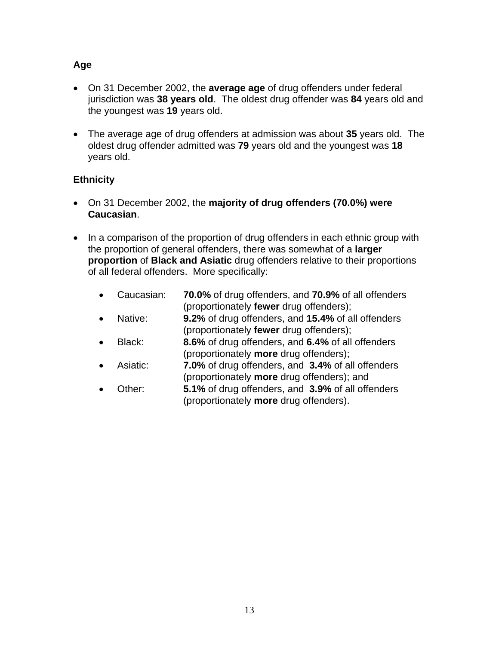### **Age**

- On 31 December 2002, the **average age** of drug offenders under federal jurisdiction was **38 years old**. The oldest drug offender was **84** years old and the youngest was **19** years old.
- The average age of drug offenders at admission was about **35** years old. The oldest drug offender admitted was **79** years old and the youngest was **18** years old.

## **Ethnicity**

- On 31 December 2002, the **majority of drug offenders (70.0%) were Caucasian**.
- In a comparison of the proportion of drug offenders in each ethnic group with the proportion of general offenders, there was somewhat of a **larger proportion** of **Black and Asiatic** drug offenders relative to their proportions of all federal offenders. More specifically:
	- Caucasian: **70.0%** of drug offenders, and **70.9%** of all offenders (proportionately **fewer** drug offenders);
	- Native: **9.2%** of drug offenders, and **15.4%** of all offenders (proportionately **fewer** drug offenders);
	- Black: **8.6%** of drug offenders, and **6.4%** of all offenders (proportionately **more** drug offenders);
	- Asiatic: **7.0%** of drug offenders, and **3.4%** of all offenders (proportionately **more** drug offenders); and
	- Other: **5.1%** of drug offenders, and **3.9%** of all offenders (proportionately **more** drug offenders).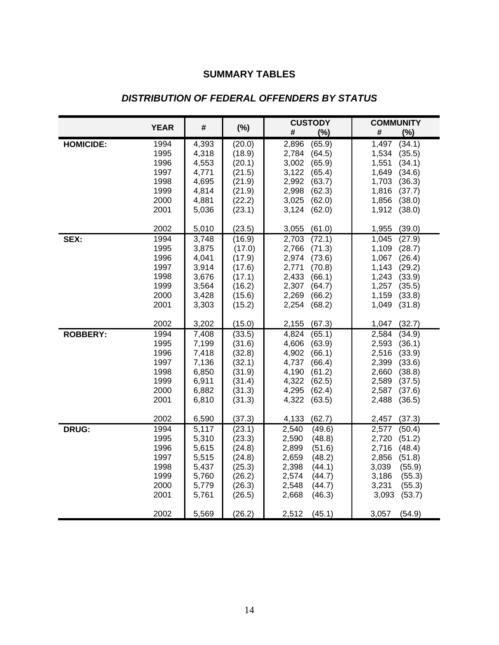# **SUMMARY TABLES**

|                  |              |                |                  | <b>CUSTODY</b>                     | <b>COMMUNITY</b>                   |
|------------------|--------------|----------------|------------------|------------------------------------|------------------------------------|
|                  | <b>YEAR</b>  | #              | (%)              | (%)<br>#                           | #<br>(%)                           |
| <b>HOMICIDE:</b> | 1994         | 4,393          | (20.0)           | (65.9)<br>2,896                    | (34.1)<br>1,497                    |
|                  | 1995         | 4,318          | (18.9)           | 2,784<br>(64.5)                    | 1,534<br>(35.5)                    |
|                  | 1996         | 4,553          | (20.1)           | 3,002<br>(65.9)                    | 1,551<br>(34.1)                    |
|                  | 1997         | 4,771          | (21.5)           | 3,122<br>(65.4)                    | 1,649<br>(34.6)                    |
|                  | 1998         | 4,695          | (21.9)           | 2,992<br>(63.7)                    | 1,703<br>(36.3)                    |
|                  | 1999         | 4,814          | (21.9)           | 2,998<br>(62.3)                    | 1,816<br>(37.7)                    |
|                  | 2000<br>2001 | 4,881<br>5,036 | (22.2)<br>(23.1) | 3,025<br>(62.0)<br>3,124<br>(62.0) | 1,856<br>(38.0)<br>1,912<br>(38.0) |
|                  |              |                |                  |                                    |                                    |
|                  | 2002         | 5,010          | (23.5)           | 3,055<br>(61.0)                    | 1,955<br>(39.0)                    |
| SEX:             | 1994         | 3,748          | (16.9)           | 2,703<br>(72.1)                    | (27.9)<br>1,045                    |
|                  | 1995         | 3,875          | (17.0)           | 2,766<br>(71.3)                    | 1,109<br>(28.7)                    |
|                  | 1996         | 4,041          | (17.9)           | 2,974<br>(73.6)                    | 1,067<br>(26.4)                    |
|                  | 1997         | 3,914          | (17.6)           | 2,771<br>(70.8)                    | 1,143<br>(29.2)                    |
|                  | 1998         | 3,676          | (17.1)           | 2,433<br>(66.1)                    | 1,243<br>(33.9)                    |
|                  | 1999<br>2000 | 3,564<br>3,428 | (16.2)<br>(15.6) | 2,307<br>(64.7)<br>2,269           | 1,257<br>(35.5)<br>1,159<br>(33.8) |
|                  | 2001         | 3,303          | (15.2)           | (66.2)<br>2,254<br>(68.2)          | 1,049<br>(31.8)                    |
|                  |              |                |                  |                                    |                                    |
|                  | 2002         | 3,202          | (15.0)           | 2,155<br>(67.3)                    | (32.7)<br>1,047                    |
| <b>ROBBERY:</b>  | 1994         | 7,408          | (33.5)           | 4,824<br>(65.1)                    | 2,584<br>(34.9)                    |
|                  | 1995         | 7,199          | (31.6)           | 4,606<br>(63.9)                    | 2,593<br>(36.1)                    |
|                  | 1996         | 7,418          | (32.8)           | (66.1)<br>4,902                    | 2,516<br>(33.9)                    |
|                  | 1997<br>1998 | 7,136          | (32.1)           | (66.4)<br>4,737                    | (33.6)<br>2,399                    |
|                  | 1999         | 6,850<br>6,911 | (31.9)<br>(31.4) | 4,190<br>(61.2)<br>4,322<br>(62.5) | (38.8)<br>2,660<br>2,589<br>(37.5) |
|                  | 2000         | 6,882          | (31.3)           | 4,295<br>(62.4)                    | 2,587<br>(37.6)                    |
|                  | 2001         | 6,810          | (31.3)           | 4,322<br>(63.5)                    | 2,488<br>(36.5)                    |
|                  |              |                |                  |                                    |                                    |
|                  | 2002         | 6,590          | (37.3)           | (62.7)<br>4,133                    | 2,457<br>(37.3)                    |
| <b>DRUG:</b>     | 1994         | 5,117          | (23.1)           | 2,540<br>(49.6)                    | 2,577<br>(50.4)                    |
|                  | 1995         | 5,310          | (23.3)           | 2,590<br>(48.8)                    | 2,720<br>(51.2)                    |
|                  | 1996         | 5,615          | (24.8)           | 2,899<br>(51.6)                    | 2,716<br>(48.4)                    |
|                  | 1997         | 5,515          | (24.8)           | 2,659<br>(48.2)                    | 2,856<br>(51.8)                    |
|                  | 1998<br>1999 | 5,437<br>5,760 | (25.3)<br>(26.2) | 2,398<br>(44.1)<br>2,574<br>(44.7) | 3,039<br>(55.9)<br>3,186<br>(55.3) |
|                  | 2000         | 5,779          | (26.3)           | 2,548<br>(44.7)                    | 3,231<br>(55.3)                    |
|                  | 2001         | 5,761          | (26.5)           | 2,668<br>(46.3)                    | (53.7)<br>3,093                    |
|                  |              |                |                  |                                    |                                    |
|                  | 2002         | 5,569          | (26.2)           | 2,512<br>(45.1)                    | (54.9)<br>3,057                    |

## *DISTRIBUTION OF FEDERAL OFFENDERS BY STATUS*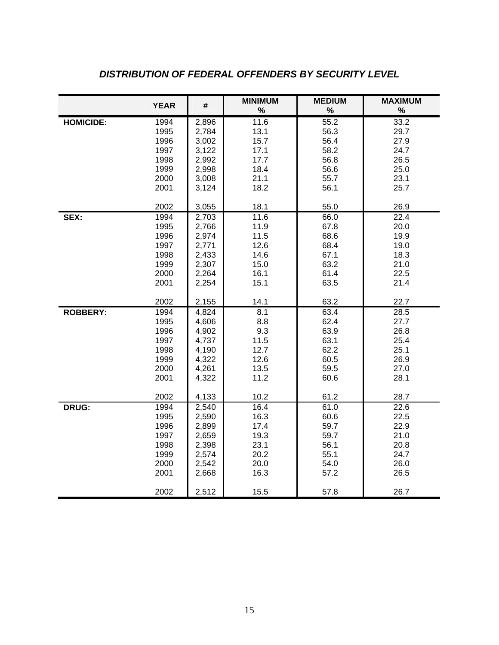|                  | <b>YEAR</b> | #     | <b>MINIMUM</b> | <b>MEDIUM</b> | <b>MAXIMUM</b> |
|------------------|-------------|-------|----------------|---------------|----------------|
|                  |             |       | $\%$           | $\%$          | $\%$           |
| <b>HOMICIDE:</b> | 1994        | 2,896 | 11.6           | 55.2          | 33.2           |
|                  | 1995        | 2,784 | 13.1           | 56.3          | 29.7           |
|                  | 1996        | 3,002 | 15.7           | 56.4          | 27.9           |
|                  | 1997        | 3,122 | 17.1           | 58.2          | 24.7           |
|                  | 1998        | 2,992 | 17.7           | 56.8          | 26.5           |
|                  | 1999        | 2,998 | 18.4           | 56.6          | 25.0           |
|                  | 2000        | 3,008 | 21.1           | 55.7          | 23.1           |
|                  | 2001        | 3,124 | 18.2           | 56.1          | 25.7           |
|                  | 2002        | 3,055 | 18.1           | 55.0          | 26.9           |
| SEX:             | 1994        | 2,703 | 11.6           | 66.0          | 22.4           |
|                  | 1995        | 2,766 | 11.9           | 67.8          | 20.0           |
|                  | 1996        | 2,974 | 11.5           | 68.6          | 19.9           |
|                  | 1997        | 2,771 | 12.6           | 68.4          | 19.0           |
|                  | 1998        | 2,433 | 14.6           | 67.1          | 18.3           |
|                  | 1999        | 2,307 | 15.0           | 63.2          | 21.0           |
|                  | 2000        | 2,264 | 16.1           | 61.4          | 22.5           |
|                  | 2001        | 2,254 | 15.1           | 63.5          | 21.4           |
|                  | 2002        | 2,155 | 14.1           | 63.2          | 22.7           |
| <b>ROBBERY:</b>  | 1994        | 4,824 | 8.1            | 63.4          | 28.5           |
|                  | 1995        | 4,606 | 8.8            | 62.4          | 27.7           |
|                  | 1996        | 4,902 | 9.3            | 63.9          | 26.8           |
|                  | 1997        | 4,737 | 11.5           | 63.1          | 25.4           |
|                  | 1998        | 4,190 | 12.7           | 62.2          | 25.1           |
|                  | 1999        | 4,322 | 12.6           | 60.5          | 26.9           |
|                  | 2000        | 4,261 | 13.5           | 59.5          | 27.0           |
|                  | 2001        | 4,322 | 11.2           | 60.6          | 28.1           |
|                  | 2002        | 4,133 | 10.2           | 61.2          | 28.7           |
| <b>DRUG:</b>     | 1994        | 2,540 | 16.4           | 61.0          | 22.6           |
|                  | 1995        | 2,590 | 16.3           | 60.6          | 22.5           |
|                  | 1996        | 2,899 | 17.4           | 59.7          | 22.9           |
|                  | 1997        | 2,659 | 19.3           | 59.7          | 21.0           |
|                  | 1998        | 2,398 | 23.1           | 56.1          | 20.8           |
|                  | 1999        | 2,574 | 20.2           | 55.1          | 24.7           |
|                  | 2000        | 2,542 | 20.0           | 54.0          | 26.0           |
|                  | 2001        | 2,668 | 16.3           | 57.2          | 26.5           |
|                  | 2002        | 2,512 | 15.5           | 57.8          | 26.7           |

# *DISTRIBUTION OF FEDERAL OFFENDERS BY SECURITY LEVEL*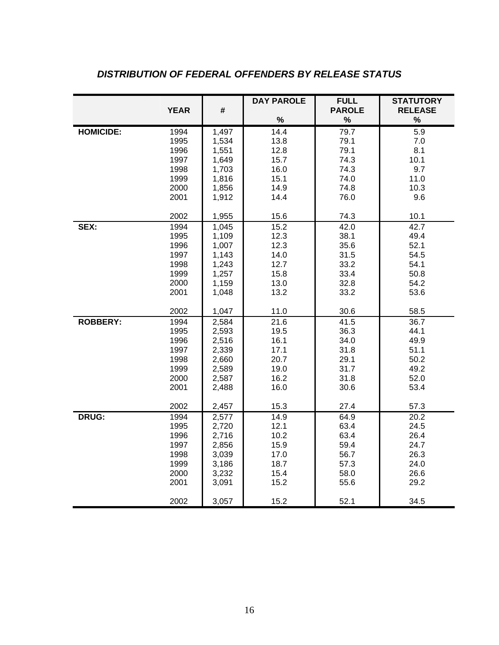|                  |             |       | <b>DAY PAROLE</b> | <b>FULL</b>   | <b>STATUTORY</b>  |
|------------------|-------------|-------|-------------------|---------------|-------------------|
|                  | <b>YEAR</b> | #     |                   | <b>PAROLE</b> | <b>RELEASE</b>    |
|                  |             |       | $\%$              | $\%$          | $\%$              |
| <b>HOMICIDE:</b> | 1994        | 1,497 | 14.4              | 79.7          | 5.9               |
|                  | 1995        | 1,534 | 13.8              | 79.1          | 7.0               |
|                  | 1996        | 1,551 | 12.8              | 79.1          | 8.1               |
|                  | 1997        | 1,649 | 15.7              | 74.3          | 10.1              |
|                  | 1998        | 1,703 | 16.0              | 74.3          | 9.7               |
|                  | 1999        | 1,816 | 15.1              | 74.0          | 11.0              |
|                  | 2000        | 1,856 | 14.9              | 74.8          | 10.3              |
|                  | 2001        | 1,912 | 14.4              | 76.0          | 9.6               |
|                  | 2002        | 1,955 | 15.6              | 74.3          | 10.1              |
| SEX:             | 1994        | 1,045 | 15.2              | 42.0          | 42.7              |
|                  | 1995        | 1,109 | 12.3              | 38.1          | 49.4              |
|                  | 1996        | 1,007 | 12.3              | 35.6          | 52.1              |
|                  | 1997        | 1,143 | 14.0              | 31.5          | 54.5              |
|                  | 1998        | 1,243 | 12.7              | 33.2          | 54.1              |
|                  | 1999        | 1,257 | 15.8              | 33.4          | 50.8              |
|                  | 2000        | 1,159 | 13.0              | 32.8          | 54.2              |
|                  | 2001        | 1,048 | 13.2              | 33.2          | 53.6              |
|                  | 2002        | 1,047 | 11.0              | 30.6          | 58.5              |
| <b>ROBBERY:</b>  | 1994        | 2,584 | 21.6              | 41.5          | 36.7              |
|                  | 1995        | 2,593 | 19.5              | 36.3          | 44.1              |
|                  | 1996        | 2,516 | 16.1              | 34.0          | 49.9              |
|                  | 1997        | 2,339 | 17.1              | 31.8          | 51.1              |
|                  | 1998        | 2,660 | 20.7              | 29.1          | 50.2              |
|                  | 1999        | 2,589 | 19.0              | 31.7          | 49.2              |
|                  | 2000        | 2,587 | 16.2              | 31.8          | 52.0              |
|                  | 2001        | 2,488 | 16.0              | 30.6          | 53.4              |
|                  | 2002        | 2,457 | 15.3              | 27.4          | 57.3              |
| <b>DRUG:</b>     | 1994        | 2,577 | 14.9              | 64.9          | $\overline{2}0.2$ |
|                  | 1995        | 2,720 | 12.1              | 63.4          | 24.5              |
|                  | 1996        | 2,716 | 10.2              | 63.4          | 26.4              |
|                  | 1997        | 2,856 | 15.9              | 59.4          | 24.7              |
|                  | 1998        | 3,039 | 17.0              | 56.7          | 26.3              |
|                  | 1999        | 3,186 | 18.7              | 57.3          | 24.0              |
|                  | 2000        | 3,232 | 15.4              | 58.0          | 26.6              |
|                  | 2001        | 3,091 | 15.2              | 55.6          | 29.2              |
|                  | 2002        | 3,057 | 15.2              | 52.1          | 34.5              |

# *DISTRIBUTION OF FEDERAL OFFENDERS BY RELEASE STATUS*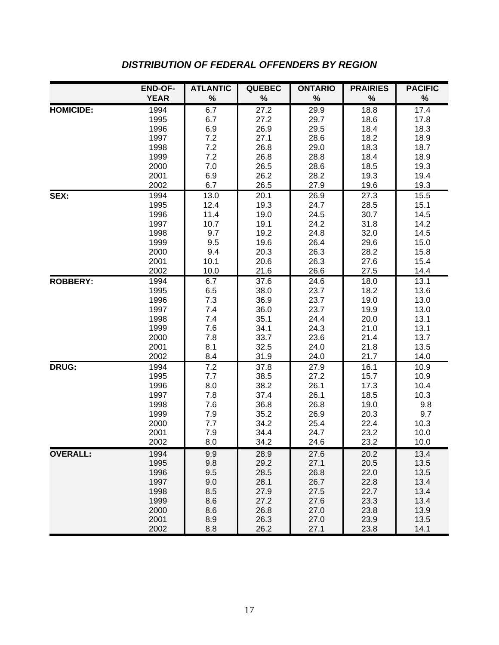|                  | <b>END-OF-</b> | <b>ATLANTIC</b> | <b>QUEBEC</b> | <b>ONTARIO</b> | <b>PRAIRIES</b> | <b>PACIFIC</b> |
|------------------|----------------|-----------------|---------------|----------------|-----------------|----------------|
|                  | <b>YEAR</b>    | $\%$            | $\%$          | $\%$           | $\%$            | $\%$           |
| <b>HOMICIDE:</b> | 1994           | 6.7             | 27.2          | 29.9           | 18.8            | 17.4           |
|                  | 1995           | 6.7             | 27.2          | 29.7           | 18.6            | 17.8           |
|                  | 1996           | 6.9             | 26.9          | 29.5           | 18.4            | 18.3           |
|                  | 1997           | 7.2             | 27.1          | 28.6           | 18.2            | 18.9           |
|                  | 1998           | 7.2             | 26.8          | 29.0           | 18.3            | 18.7           |
|                  | 1999           | 7.2             | 26.8          | 28.8           | 18.4            | 18.9           |
|                  | 2000           | $7.0$           | 26.5          | 28.6           | 18.5            | 19.3           |
|                  | 2001<br>2002   | 6.9<br>6.7      | 26.2<br>26.5  | 28.2<br>27.9   | 19.3<br>19.6    | 19.4<br>19.3   |
| SEX:             | 1994           | 13.0            | 20.1          | 26.9           | 27.3            | 15.5           |
|                  | 1995           | 12.4            | 19.3          | 24.7           | 28.5            | 15.1           |
|                  | 1996           | 11.4            | 19.0          | 24.5           | 30.7            | 14.5           |
|                  | 1997           | 10.7            | 19.1          | 24.2           | 31.8            | 14.2           |
|                  | 1998           | 9.7             | 19.2          | 24.8           | 32.0            | 14.5           |
|                  | 1999           | 9.5             | 19.6          | 26.4           | 29.6            | 15.0           |
|                  | 2000           | 9.4             | 20.3          | 26.3           | 28.2            | 15.8           |
|                  | 2001           | 10.1            | 20.6          | 26.3           | 27.6            | 15.4           |
|                  | 2002           | 10.0            | 21.6          | 26.6           | 27.5            | 14.4           |
| <b>ROBBERY:</b>  | 1994           | 6.7             | 37.6          | 24.6           | 18.0            | 13.1           |
|                  | 1995           | 6.5             | 38.0          | 23.7           | 18.2            | 13.6           |
|                  | 1996           | 7.3             | 36.9          | 23.7           | 19.0            | 13.0           |
|                  | 1997           | 7.4             | 36.0          | 23.7           | 19.9            | 13.0           |
|                  | 1998           | 7.4             | 35.1          | 24.4           | 20.0            | 13.1           |
|                  | 1999           | 7.6             | 34.1          | 24.3           | 21.0            | 13.1           |
|                  | 2000<br>2001   | 7.8<br>8.1      | 33.7<br>32.5  | 23.6<br>24.0   | 21.4<br>21.8    | 13.7<br>13.5   |
|                  | 2002           | 8.4             | 31.9          | 24.0           | 21.7            | 14.0           |
| DRUG:            | 1994           | 7.2             | 37.8          | 27.9           | 16.1            | 10.9           |
|                  | 1995           | 7.7             | 38.5          | 27.2           | 15.7            | 10.9           |
|                  | 1996           | 8.0             | 38.2          | 26.1           | 17.3            | 10.4           |
|                  | 1997           | 7.8             | 37.4          | 26.1           | 18.5            | 10.3           |
|                  | 1998           | 7.6             | 36.8          | 26.8           | 19.0            | 9.8            |
|                  | 1999           | 7.9             | 35.2          | 26.9           | 20.3            | 9.7            |
|                  | 2000           | 7.7             | 34.2          | 25.4           | 22.4            | 10.3           |
|                  | 2001           | 7.9             | 34.4          | 24.7           | 23.2            | 10.0           |
|                  | 2002           | 8.0             | 34.2          | 24.6           | 23.2            | 10.0           |
| <b>OVERALL:</b>  | 1994           | 9.9             | 28.9          | 27.6           | 20.2            | 13.4           |
|                  | 1995           | 9.8             | 29.2          | 27.1           | 20.5            | 13.5           |
|                  | 1996           | 9.5             | 28.5          | 26.8           | 22.0            | 13.5           |
|                  | 1997           | 9.0             | 28.1          | 26.7           | 22.8            | 13.4           |
|                  | 1998           | 8.5             | 27.9          | 27.5           | 22.7            | 13.4           |
|                  | 1999           | 8.6             | 27.2          | 27.6           | 23.3            | 13.4           |
|                  | 2000           | 8.6             | 26.8          | 27.0           | 23.8            | 13.9           |
|                  | 2001<br>2002   | 8.9<br>8.8      | 26.3<br>26.2  | 27.0<br>27.1   | 23.9<br>23.8    | 13.5<br>14.1   |

## *DISTRIBUTION OF FEDERAL OFFENDERS BY REGION*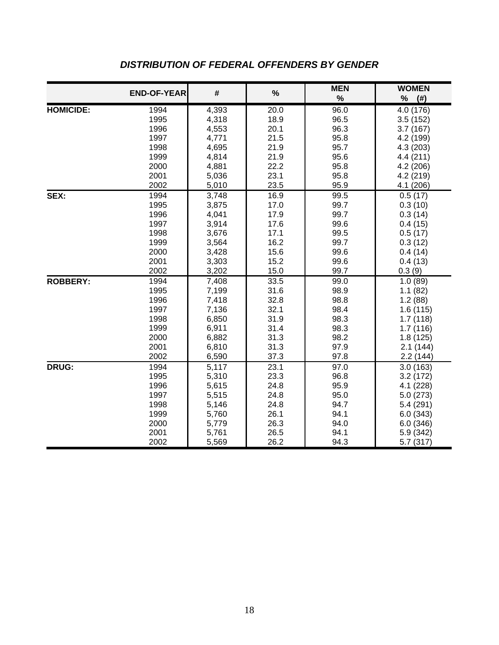|                  | <b>END-OF-YEAR</b> | #     | %    | <b>MEN</b><br>$\%$ | <b>WOMEN</b><br>$\%$<br>$($ # $)$ |
|------------------|--------------------|-------|------|--------------------|-----------------------------------|
| <b>HOMICIDE:</b> | 1994               | 4,393 | 20.0 | 96.0               | 4.0 (176)                         |
|                  | 1995               | 4,318 | 18.9 | 96.5               | 3.5(152)                          |
|                  | 1996               | 4,553 | 20.1 | 96.3               | 3.7(167)                          |
|                  | 1997               | 4,771 | 21.5 | 95.8               | 4.2 (199)                         |
|                  | 1998               | 4,695 | 21.9 | 95.7               | 4.3 (203)                         |
|                  | 1999               | 4,814 | 21.9 | 95.6               | 4.4 (211)                         |
|                  | 2000               | 4,881 | 22.2 | 95.8               | 4.2 (206)                         |
|                  | 2001               | 5,036 | 23.1 | 95.8               | 4.2 (219)                         |
|                  | 2002               | 5,010 | 23.5 | 95.9               | 4.1 (206)                         |
| SEX:             | 1994               | 3,748 | 16.9 | 99.5               | 0.5(17)                           |
|                  | 1995               | 3,875 | 17.0 | 99.7               | 0.3(10)                           |
|                  | 1996               | 4,041 | 17.9 | 99.7               | 0.3(14)                           |
|                  | 1997               | 3,914 | 17.6 | 99.6               | 0.4(15)                           |
|                  | 1998               | 3,676 | 17.1 | 99.5               | 0.5(17)                           |
|                  | 1999               | 3,564 | 16.2 | 99.7               | 0.3(12)                           |
|                  | 2000               | 3,428 | 15.6 | 99.6               | 0.4(14)                           |
|                  | 2001               | 3,303 | 15.2 | 99.6               | 0.4(13)                           |
|                  | 2002               | 3,202 | 15.0 | 99.7               | 0.3(9)                            |
| <b>ROBBERY:</b>  | 1994               | 7,408 | 33.5 | 99.0               | 1.0(89)                           |
|                  | 1995               | 7,199 | 31.6 | 98.9               | 1.1(82)                           |
|                  | 1996               | 7,418 | 32.8 | 98.8               | 1.2(88)                           |
|                  | 1997               | 7,136 | 32.1 | 98.4               | 1.6 (115)                         |
|                  | 1998               | 6,850 | 31.9 | 98.3               | 1.7(118)                          |
|                  | 1999               | 6,911 | 31.4 | 98.3               | 1.7(116)                          |
|                  | 2000               | 6,882 | 31.3 | 98.2               | 1.8(125)                          |
|                  | 2001               | 6,810 | 31.3 | 97.9               | 2.1(144)                          |
|                  | 2002               | 6,590 | 37.3 | 97.8               | 2.2(144)                          |
| <b>DRUG:</b>     | 1994               | 5,117 | 23.1 | 97.0               | 3.0(163)                          |
|                  | 1995               | 5,310 | 23.3 | 96.8               | 3.2(172)                          |
|                  | 1996               | 5,615 | 24.8 | 95.9               | 4.1 (228)                         |
|                  | 1997               | 5,515 | 24.8 | 95.0               | 5.0(273)                          |
|                  | 1998               | 5,146 | 24.8 | 94.7               | 5.4 (291)                         |
|                  | 1999               | 5,760 | 26.1 | 94.1               | 6.0(343)                          |
|                  | 2000               | 5,779 | 26.3 | 94.0               | 6.0(346)                          |
|                  | 2001               | 5,761 | 26.5 | 94.1               | 5.9 (342)                         |
|                  | 2002               | 5,569 | 26.2 | 94.3               | 5.7(317)                          |

## *DISTRIBUTION OF FEDERAL OFFENDERS BY GENDER*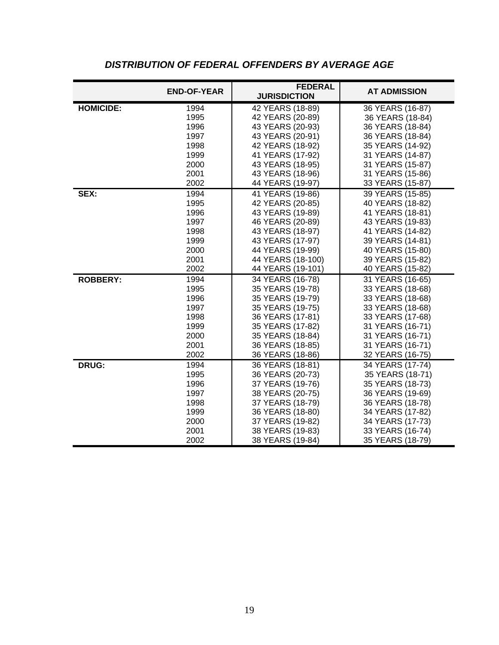|                  | <b>END-OF-YEAR</b> | <b>FEDERAL</b><br><b>JURISDICTION</b> | <b>AT ADMISSION</b> |
|------------------|--------------------|---------------------------------------|---------------------|
| <b>HOMICIDE:</b> | 1994               | 42 YEARS (18-89)                      | 36 YEARS (16-87)    |
|                  | 1995               | 42 YEARS (20-89)                      | 36 YEARS (18-84)    |
|                  | 1996               | 43 YEARS (20-93)                      | 36 YEARS (18-84)    |
|                  | 1997               | 43 YEARS (20-91)                      | 36 YEARS (18-84)    |
|                  | 1998               | 42 YEARS (18-92)                      | 35 YEARS (14-92)    |
|                  | 1999               | 41 YEARS (17-92)                      | 31 YEARS (14-87)    |
|                  | 2000               | 43 YEARS (18-95)                      | 31 YEARS (15-87)    |
|                  | 2001               | 43 YEARS (18-96)                      | 31 YEARS (15-86)    |
|                  | 2002               | 44 YEARS (19-97)                      | 33 YEARS (15-87)    |
| SEX:             | 1994               | 41 YEARS (19-86)                      | 39 YEARS (15-85)    |
|                  | 1995               | 42 YEARS (20-85)                      | 40 YEARS (18-82)    |
|                  | 1996               | 43 YEARS (19-89)                      | 41 YEARS (18-81)    |
|                  | 1997               | 46 YEARS (20-89)                      | 43 YEARS (19-83)    |
|                  | 1998               | 43 YEARS (18-97)                      | 41 YEARS (14-82)    |
|                  | 1999               | 43 YEARS (17-97)                      | 39 YEARS (14-81)    |
|                  | 2000               | 44 YEARS (19-99)                      | 40 YEARS (15-80)    |
|                  | 2001               | 44 YEARS (18-100)                     | 39 YEARS (15-82)    |
|                  | 2002               | 44 YEARS (19-101)                     | 40 YEARS (15-82)    |
| <b>ROBBERY:</b>  | 1994               | 34 YEARS (16-78)                      | 31 YEARS (16-65)    |
|                  | 1995               | 35 YEARS (19-78)                      | 33 YEARS (18-68)    |
|                  | 1996               | 35 YEARS (19-79)                      | 33 YEARS (18-68)    |
|                  | 1997               | 35 YEARS (19-75)                      | 33 YEARS (18-68)    |
|                  | 1998               | 36 YEARS (17-81)                      | 33 YEARS (17-68)    |
|                  | 1999               | 35 YEARS (17-82)                      | 31 YEARS (16-71)    |
|                  | 2000               | 35 YEARS (18-84)                      | 31 YEARS (16-71)    |
|                  | 2001               | 36 YEARS (18-85)                      | 31 YEARS (16-71)    |
|                  | 2002               | 36 YEARS (18-86)                      | 32 YEARS (16-75)    |
| <b>DRUG:</b>     | 1994               | 36 YEARS (18-81)                      | 34 YEARS (17-74)    |
|                  | 1995               | 36 YEARS (20-73)                      | 35 YEARS (18-71)    |
|                  | 1996               | 37 YEARS (19-76)                      | 35 YEARS (18-73)    |
|                  | 1997               | 38 YEARS (20-75)                      | 36 YEARS (19-69)    |
|                  | 1998               | 37 YEARS (18-79)                      | 36 YEARS (18-78)    |
|                  | 1999               | 36 YEARS (18-80)                      | 34 YEARS (17-82)    |
|                  | 2000               | 37 YEARS (19-82)                      | 34 YEARS (17-73)    |
|                  | 2001               | 38 YEARS (19-83)                      | 33 YEARS (16-74)    |
|                  | 2002               | 38 YEARS (19-84)                      | 35 YEARS (18-79)    |

## *DISTRIBUTION OF FEDERAL OFFENDERS BY AVERAGE AGE*